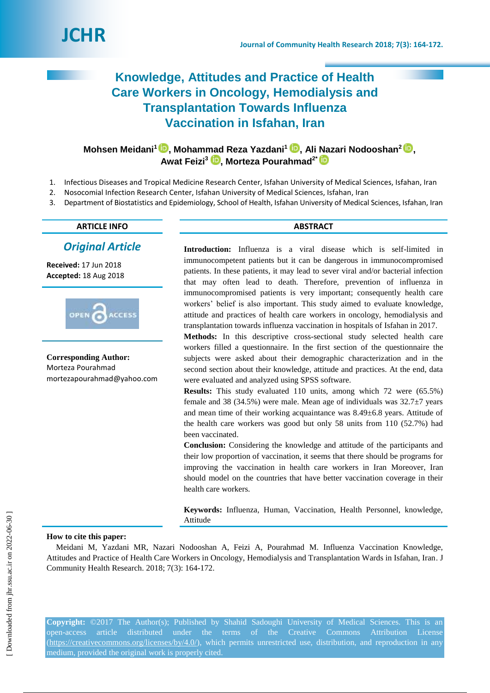

# **Knowledge, Attitudes and Practice of Health Care Workers in Oncology, Hemodialysis and Transplantation Towards Influenza Vaccination in Isfahan, Iran**

**Mohsen Meidani<sup>1</sup>[,](https://orcid.org/0000-0001-9599-6055) Mohammad Reza Yazdani<sup>1</sup> , Ali Nazari Nodooshan<sup>2</sup> , Awat Feizi<sup>3</sup> , Morteza Pourahmad2\***

- 1. Infectious Diseases and Tropical Medicine Research Center, Isfahan University of Medical Sciences, Isfahan, Iran
- 2. Nosocomial Infection Research Center, Isfahan University of Medical Sciences, Isfahan, Iran
- 3. Department of Biostatistics and Epidemiology, School of Health, Isfahan University of Medical Sciences, Isfahan, Iran

# **ARTICLE INFO ABSTRACT**

# *Original Article*

**Received:** 17 Jun 2018 **Accepted:** 18 Aug 2018



**Corresponding Author:** Morteza Pourahmad mortezapourahmad@yahoo.com

**Introduction:** Influenza is a viral disease which is self-limited in immunocompetent patients but it can be dangerous in immunocompromised patients. In these patients, it may lead to sever viral and/or bacterial infection that may often lead to death. Therefore, prevention of influenza in immunocompromised patients is very important; consequently health care workers' belief is also important. This study aimed to evaluate knowledge, attitude and practices of health care workers in oncology, hemodialysis and transplantation towards influenza vaccination in hospitals of Isfahan in 2017.

**Methods:** In this descriptive cross-sectional study selected health care workers filled a questionnaire. In the first section of the questionnaire the subjects were asked about their demographic characterization and in the second section about their knowledge, attitude and practices. At the end, data were evaluated and analyzed using SPSS software.

**Results:** This study evaluated 110 units, among which 72 were (65.5%) female and 38 (34.5%) were male. Mean age of individuals was  $32.7\pm7$  years and mean time of their working acquaintance was 8.49±6.8 years. Attitude of the health care workers was good but only 58 units from 110 (52.7%) had been vaccinated.

**Conclusion:** Considering the knowledge and attitude of the participants and their low proportion of vaccination, it seems that there should be programs for improving the vaccination in health care workers in Iran Moreover, Iran should model on the countries that have better vaccination coverage in their health care workers.

**Keywords:** Influenza, Human, Vaccination, Health Personnel, knowledge, Attitude

# **How to cite this paper:**

Meidani M, Yazdani MR, Nazari Nodooshan A, Feizi A, Pourahmad M. Influenza Vaccination Knowledge, Attitudes and Practice of Health Care Workers in Oncology, Hemodialysis and Transplantation Wards in Isfahan, Iran. J Community Health Research. 2018; 7(3): 164-172.

**Copyright:** ©2017 The Author(s); Published by Shahid Sadoughi University of Medical Sciences. This is an open-access article distributed under the terms of the Creative Commons Attribution License [\(https://creativecommons.org/licenses/by/4.0/\)](https://creativecommons.org/licenses/by/4.0/), which permits unrestricted use, distribution, and reproduction in any medium, provided the original work is properly cited.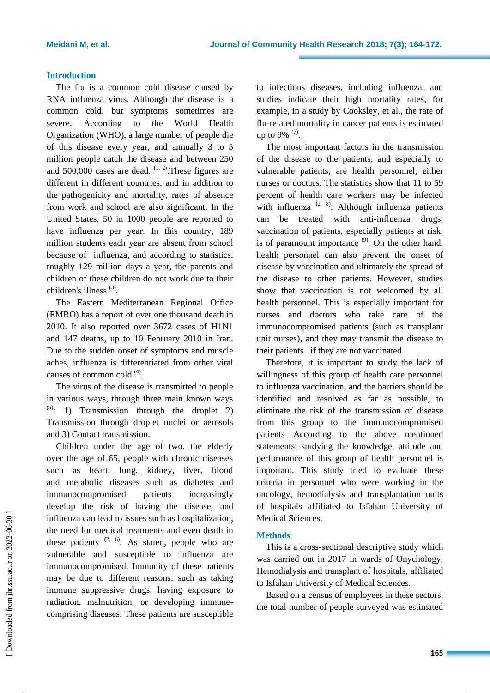# **Introduction**

The flu is a common cold disease caused by RNA influenza virus. Although the disease is a common cold, but symptoms sometimes are severe. According to the World Health Organization (WHO), a large number of people die of this disease every year, and annually 3 to 5 million people catch the disease and between 250 and 500,000 cases are dead.  $(1, 2)$ . These figures are different in different countries, and in addition to the pathogenicity and mortality, rates of absence from work and school are also significant. In the United States, 50 in 1000 people are reported to have influenza per year. In this country, 189 million students each year are absent from school because of influenza, and according to statistics, roughly 129 million days a year, the parents and children of these children do not work due to their children's illness<sup>(3)</sup>.

The Eastern Mediterranean Regional Office (EMRO) has a report of over one thousand death in 2010. It also reported over 3672 cases of H1N1 and 147 deaths, up to 10 February 2010 in Iran. Due to the sudden onset of symptoms and muscle aches, influenza is differentiated from other viral causes of common cold  $<sup>(4)</sup>$ .</sup>

The virus of the disease is transmitted to people in various ways, through three main known ways  $(5)$ : 1) Transmission through the droplet 2) Transmission through droplet nuclei or aerosols and 3) Contact transmission.

Children under the age of two, the elderly over the age of 65, people with chronic diseases such as heart, lung, kidney, liver, blood and metabolic diseases such as diabetes and immunocompromised patients increasingly develop the risk of having the disease, and influenza can lead to issues such as hospitalization, the need for medical treatments and even death in these patients  $(2, 6)$ . As stated, people who are vulnerable and susceptible to influenza are immunocompromised. Immunity of these patients may be due to different reasons: such as taking immune suppressive drugs, having exposure to radiation, malnutrition, or developing immunecomprising diseases. These patients are susceptible to infectious diseases, including influenza, and studies indicate their high mortality rates, for example, in a study by Cooksley, et al., the rate of flu-related mortality in cancer patients is estimated up to 9%  $(7)$ .

The most important factors in the transmission of the disease to the patients, and especially to vulnerable patients, are health personnel, either nurses or doctors. The statistics show that 11 to 59 percent of health care workers may be infected with influenza  $(2, 8)$ . Although influenza patients can be treated with anti-influenza drugs, vaccination of patients, especially patients at risk, is of paramount importance  $(9)$ . On the other hand, health personnel can also prevent the onset of disease by vaccination and ultimately the spread of the disease to other patients. However, studies show that vaccination is not welcomed by all health personnel. This is especially important for nurses and doctors who take care of the immunocompromised patients (such as transplant unit nurses), and they may transmit the disease to their patients if they are not vaccinated.

Therefore, it is important to study the lack of willingness of this group of health care personnel to influenza vaccination, and the barriers should be identified and resolved as far as possible, to eliminate the risk of the transmission of disease from this group to the immunocompromised patients According to the above mentioned statements, studying the knowledge, attitude and performance of this group of health personnel is important. This study tried to evaluate these criteria in personnel who were working in the oncology, hemodialysis and transplantation units of hospitals affiliated to Isfahan University of Medical Sciences.

# **Methods**

This is a cross-sectional descriptive study which was carried out in 2017 in wards of Onychology, Hemodialysis and transplant of hospitals, affiliated to Isfahan University of Medical Sciences.

Based on a census of employees in these sectors, the total number of people surveyed was estimated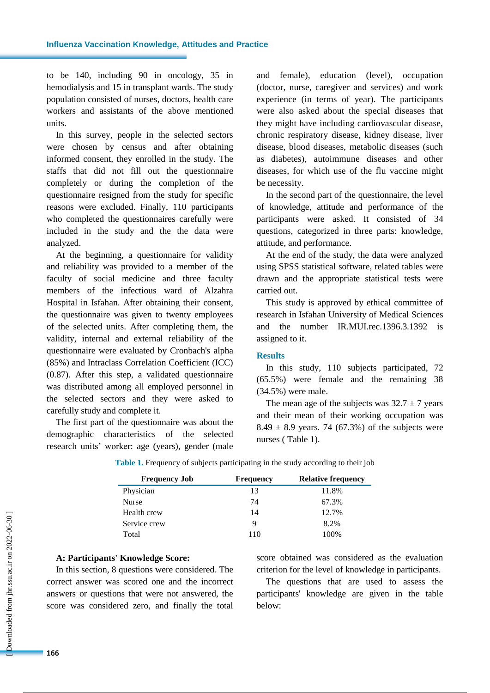to be 140, including 90 in oncology, 35 in hemodialysis and 15 in transplant wards. The study population consisted of nurses, doctors, health care workers and assistants of the above mentioned units.

In this survey, people in the selected sectors were chosen by census and after obtaining informed consent, they enrolled in the study. The staffs that did not fill out the questionnaire completely or during the completion of the questionnaire resigned from the study for specific reasons were excluded. Finally, 110 participants who completed the questionnaires carefully were included in the study and the the data were analyzed.

At the beginning, a questionnaire for validity and reliability was provided to a member of the faculty of social medicine and three faculty members of the infectious ward of Alzahra Hospital in Isfahan. After obtaining their consent, the questionnaire was given to twenty employees of the selected units. After completing them, the validity, internal and external reliability of the questionnaire were evaluated by Cronbach's alpha (85%) and Intraclass Correlation Coefficient (ICC) (0.87). After this step, a validated questionnaire was distributed among all employed personnel in the selected sectors and they were asked to carefully study and complete it.

The first part of the questionnaire was about the demographic characteristics of the selected research units' worker: age (years), gender (male and female), education (level), occupation (doctor, nurse, caregiver and services) and work experience (in terms of year). The participants were also asked about the special diseases that they might have including cardiovascular disease, chronic respiratory disease, kidney disease, liver disease, blood diseases, metabolic diseases (such as diabetes), autoimmune diseases and other diseases, for which use of the flu vaccine might be necessity.

In the second part of the questionnaire, the level of knowledge, attitude and performance of the participants were asked. It consisted of 34 questions, categorized in three parts: knowledge, attitude, and performance.

At the end of the study, the data were analyzed using SPSS statistical software, related tables were drawn and the appropriate statistical tests were carried out.

This study is approved by ethical committee of research in Isfahan University of Medical Sciences and the number IR.MUI.rec.1396.3.1392 is assigned to it.

# **Results**

In this study, 110 subjects participated, 72 (65.5%) were female and the remaining 38 (34.5%) were male.

The mean age of the subjects was  $32.7 \pm 7$  years and their mean of their working occupation was 8.49  $\pm$  8.9 years. 74 (67.3%) of the subjects were nurses ( Table 1).

| <b>Frequency Job</b> | <b>Frequency</b> | <b>Relative frequency</b> |
|----------------------|------------------|---------------------------|
| Physician            | 13               | 11.8%                     |
| Nurse                | 74               | 67.3%                     |
| Health crew          | 14               | 12.7%                     |
| Service crew         | 9                | 8.2%                      |
| Total                | 110              | 100%                      |

**Table 1.** Frequency of subjects participating in the study according to their job

# **A: Participants' Knowledge Score:**

In this section, 8 questions were considered. The correct answer was scored one and the incorrect answers or questions that were not answered, the score was considered zero, and finally the total

score obtained was considered as the evaluation criterion for the level of knowledge in participants.

The questions that are used to assess the participants' knowledge are given in the table below: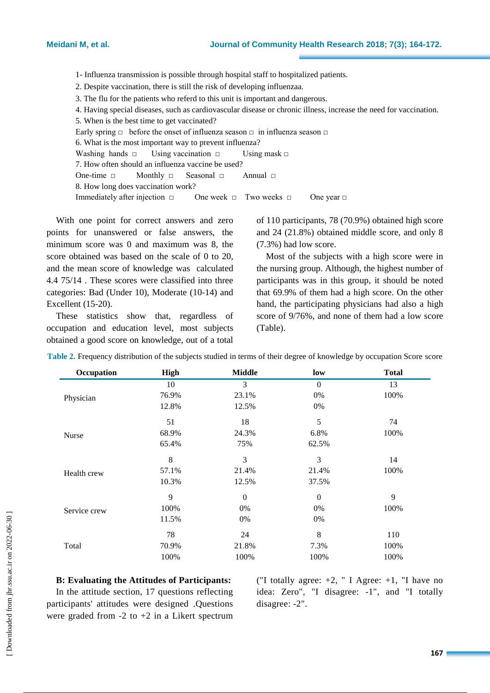1- Influenza transmission is possible through hospital staff to hospitalized patients.

2. Despite vaccination, there is still the risk of developing influenzaa.

3. The flu for the patients who referd to this unit is important and dangerous.

4. Having special diseases, such as cardiovascular disease or chronic illness, increase the need for vaccination.

5. When is the best time to get vaccinated?

Early spring  $\Box$  before the onset of influenza season  $\Box$  in influenza season  $\Box$ 

6. What is the most important way to prevent influenza? Washing hands  $\Box$  Using vaccination  $\Box$  Using mask  $\Box$ 

7. How often should an influenza vaccine be used? One-time □ Monthly □ Seasonal □ Annual □

8. How long does vaccination work?

Immediately after injection  $\Box$  One week  $\Box$  Two weeks  $\Box$  One year  $\Box$ 

With one point for correct answers and zero points for unanswered or false answers, the minimum score was 0 and maximum was 8, the score obtained was based on the scale of 0 to 20, and the mean score of knowledge was calculated 4.4 75/14 . These scores were classified into three categories: Bad (Under 10), Moderate (10-14) and Excellent (15-20).

These statistics show that, regardless of occupation and education level, most subjects obtained a good score on knowledge, out of a total

of 110 participants, 78 (70.9%) obtained high score and 24 (21.8%) obtained middle score, and only 8 (7.3%) had low score.

Most of the subjects with a high score were in the nursing group. Although, the highest number of participants was in this group, it should be noted that 69.9% of them had a high score. On the other hand, the participating physicians had also a high score of 9/76%, and none of them had a low score (Table).

| Occupation   | High  | <b>Middle</b> | low            | <b>Total</b> |
|--------------|-------|---------------|----------------|--------------|
|              | 10    | 3             | $\overline{0}$ | 13           |
| Physician    | 76.9% | 23.1%         | 0%             | 100%         |
|              | 12.8% | 12.5%         | 0%             |              |
|              | 51    | 18            | 5              | 74           |
| Nurse        | 68.9% | 24.3%         | 6.8%           | 100%         |
|              | 65.4% | 75%           | 62.5%          |              |
|              | 8     | 3             | 3              | 14           |
| Health crew  | 57.1% | 21.4%         | 21.4%          | 100%         |
|              | 10.3% | 12.5%         | 37.5%          |              |
|              | 9     | $\Omega$      | $\overline{0}$ | 9            |
| Service crew | 100%  | $0\%$         | $0\%$          | 100%         |
|              | 11.5% | 0%            | 0%             |              |
| Total        | 78    | 24            | 8              | 110          |
|              | 70.9% | 21.8%         | 7.3%           | 100%         |
|              | 100%  | 100%          | 100%           | 100%         |

**Table 2.** Frequency distribution of the subjects studied in terms of their degree of knowledge by occupation Score score

# **B: Evaluating the Attitudes of Participants:**

In the attitude section, 17 questions reflecting participants' attitudes were designed .Questions were graded from  $-2$  to  $+2$  in a Likert spectrum ("I totally agree:  $+2$ , " I Agree:  $+1$ , "I have no idea: Zero", "I disagree: -1", and "I totally disagree: -2".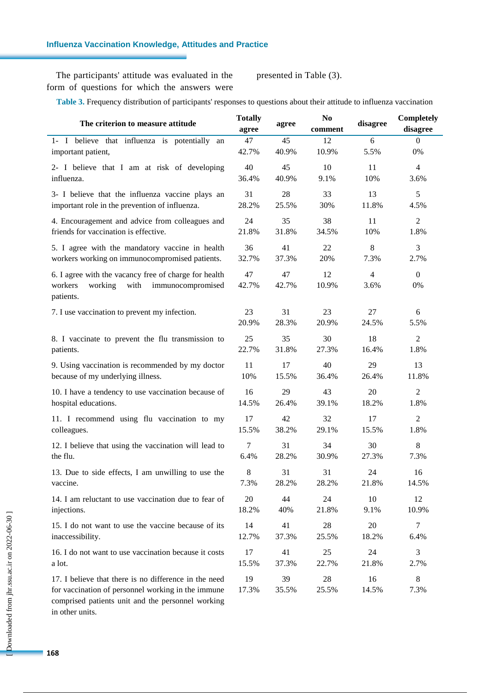# **Influenza Vaccination Knowledge, Attitudes and Practice**

The participants' attitude was evaluated in the form of questions for which the answers were presented in Table (3).

**Table 3.** Frequency distribution of participants' responses to questions about their attitude to influenza vaccination

| The criterion to measure attitude                                                                                                                                | <b>Totally</b><br>agree | agree       | N <sub>0</sub><br>comment | disagree               | Completely<br>disagree |
|------------------------------------------------------------------------------------------------------------------------------------------------------------------|-------------------------|-------------|---------------------------|------------------------|------------------------|
| 1- I believe that influenza is potentially an                                                                                                                    | 47                      | 45          | 12                        | 6                      | $\overline{0}$         |
| important patient,                                                                                                                                               | 42.7%                   | 40.9%       | 10.9%                     | 5.5%                   | 0%                     |
| 2- I believe that I am at risk of developing                                                                                                                     | 40                      | 45          | 10                        | 11                     | $\overline{4}$         |
| influenza.                                                                                                                                                       | 36.4%                   | 40.9%       | 9.1%                      | 10%                    | 3.6%                   |
| 3- I believe that the influenza vaccine plays an                                                                                                                 | 31                      | 28          | 33                        | 13                     | 5                      |
| important role in the prevention of influenza.                                                                                                                   | 28.2%                   | 25.5%       | 30%                       | 11.8%                  | 4.5%                   |
| 4. Encouragement and advice from colleagues and                                                                                                                  | 24                      | 35          | 38                        | 11                     | $\overline{c}$         |
| friends for vaccination is effective.                                                                                                                            | 21.8%                   | 31.8%       | 34.5%                     | 10%                    | 1.8%                   |
| 5. I agree with the mandatory vaccine in health                                                                                                                  | 36                      | 41          | 22                        | 8                      | 3                      |
| workers working on immunocompromised patients.                                                                                                                   | 32.7%                   | 37.3%       | 20%                       | 7.3%                   | 2.7%                   |
| 6. I agree with the vacancy free of charge for health<br>working<br>with<br>immunocompromised<br>workers<br>patients.                                            | 47<br>42.7%             | 47<br>42.7% | 12<br>10.9%               | $\overline{4}$<br>3.6% | $\boldsymbol{0}$<br>0% |
| 7. I use vaccination to prevent my infection.                                                                                                                    | 23                      | 31          | 23                        | 27                     | 6                      |
|                                                                                                                                                                  | 20.9%                   | 28.3%       | 20.9%                     | 24.5%                  | 5.5%                   |
| 8. I vaccinate to prevent the flu transmission to                                                                                                                | 25                      | 35          | 30                        | 18                     | $\overline{2}$         |
| patients.                                                                                                                                                        | 22.7%                   | 31.8%       | 27.3%                     | 16.4%                  | 1.8%                   |
| 9. Using vaccination is recommended by my doctor                                                                                                                 | 11                      | 17          | 40                        | 29                     | 13                     |
| because of my underlying illness.                                                                                                                                | 10%                     | 15.5%       | 36.4%                     | 26.4%                  | 11.8%                  |
| 10. I have a tendency to use vaccination because of                                                                                                              | 16                      | 29          | 43                        | 20                     | $\overline{2}$         |
| hospital educations.                                                                                                                                             | 14.5%                   | 26.4%       | 39.1%                     | 18.2%                  | 1.8%                   |
| 11. I recommend using flu vaccination to my                                                                                                                      | 17                      | 42          | 32                        | 17                     | $\overline{c}$         |
| colleagues.                                                                                                                                                      | 15.5%                   | 38.2%       | 29.1%                     | 15.5%                  | 1.8%                   |
| 12. I believe that using the vaccination will lead to                                                                                                            | $\tau$                  | 31          | 34                        | 30                     | 8                      |
| the flu.                                                                                                                                                         | 6.4%                    | 28.2%       | 30.9%                     | 27.3%                  | 7.3%                   |
| 13. Due to side effects, I am unwilling to use the                                                                                                               | 8                       | 31          | 31                        | 24                     | 16                     |
| vaccine.                                                                                                                                                         | 7.3%                    | 28.2%       | 28.2%                     | 21.8%                  | 14.5%                  |
| 14. I am reluctant to use vaccination due to fear of                                                                                                             | 20                      | 44          | 24                        | 10                     | 12                     |
| injections.                                                                                                                                                      | 18.2%                   | 40%         | 21.8%                     | 9.1%                   | 10.9%                  |
| 15. I do not want to use the vaccine because of its                                                                                                              | 14                      | 41          | 28                        | 20                     | $\tau$                 |
| inaccessibility.                                                                                                                                                 | 12.7%                   | 37.3%       | 25.5%                     | 18.2%                  | 6.4%                   |
| 16. I do not want to use vaccination because it costs                                                                                                            | 17                      | 41          | 25                        | 24                     | 3                      |
| a lot.                                                                                                                                                           | 15.5%                   | 37.3%       | 22.7%                     | 21.8%                  | 2.7%                   |
| 17. I believe that there is no difference in the need<br>for vaccination of personnel working in the immune<br>comprised patients unit and the personnel working | 19<br>17.3%             | 39<br>35.5% | 28<br>25.5%               | 16<br>14.5%            | 8<br>7.3%              |

in other units.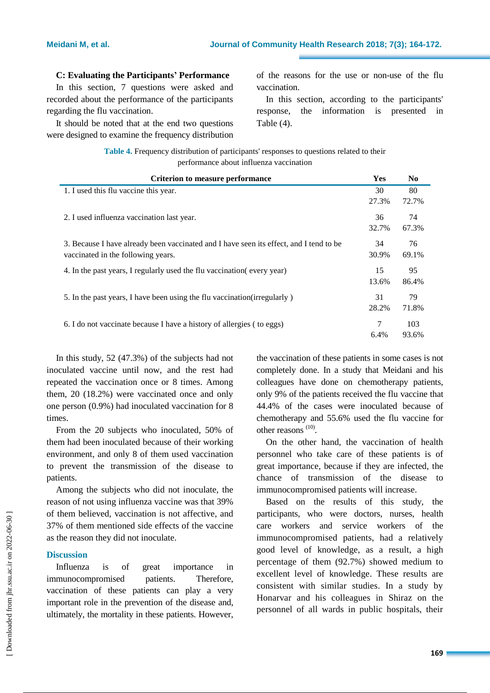# **C: Evaluating the Participants' Performance**

In this section, 7 questions were asked and recorded about the performance of the participants regarding the flu vaccination.

It should be noted that at the end two questions were designed to examine the frequency distribution of the reasons for the use or non-use of the flu vaccination.

In this section, according to the participants' response, the information is presented in Table (4).

| Table 4. Frequency distribution of participants' responses to questions related to their |
|------------------------------------------------------------------------------------------|
| performance about influenza vaccination                                                  |

| <b>Criterion to measure performance</b>                                                                                      |       | N <sub>0</sub> |
|------------------------------------------------------------------------------------------------------------------------------|-------|----------------|
| 1. I used this flu vaccine this year.                                                                                        | 30    | 80             |
|                                                                                                                              | 27.3% | 72.7%          |
| 2. I used influenza vaccination last year.                                                                                   |       | 74             |
|                                                                                                                              | 32.7% | 67.3%          |
| 3. Because I have already been vaccinated and I have seen its effect, and I tend to be<br>vaccinated in the following years. |       | 76             |
|                                                                                                                              |       | 69.1%          |
| 4. In the past years, I regularly used the flu vaccination (every year)                                                      | 15    | 95             |
|                                                                                                                              | 13.6% | 86.4%          |
| 5. In the past years, I have been using the flu vaccination (irregularly)                                                    |       | 79             |
|                                                                                                                              | 28.2% | 71.8%          |
| 6. I do not vaccinate because I have a history of allergies (to eggs)                                                        |       | 103            |
|                                                                                                                              | 6.4%  | 93.6%          |

In this study, 52 (47.3%) of the subjects had not inoculated vaccine until now, and the rest had repeated the vaccination once or 8 times. Among them, 20 (18.2%) were vaccinated once and only one person (0.9%) had inoculated vaccination for 8 times.

From the 20 subjects who inoculated, 50% of them had been inoculated because of their working environment, and only 8 of them used vaccination to prevent the transmission of the disease to patients.

Among the subjects who did not inoculate, the reason of not using influenza vaccine was that 39% of them believed, vaccination is not affective, and 37% of them mentioned side effects of the vaccine as the reason they did not inoculate.

# **Discussion**

Influenza is of great importance in immunocompromised patients. Therefore, vaccination of these patients can play a very important role in the prevention of the disease and, ultimately, the mortality in these patients. However, the vaccination of these patients in some cases is not completely done. In a study that Meidani and his colleagues have done on chemotherapy patients, only 9% of the patients received the flu vaccine that 44.4% of the cases were inoculated because of chemotherapy and 55.6% used the flu vaccine for other reasons  $(10)$ .

On the other hand, the vaccination of health personnel who take care of these patients is of great importance, because if they are infected, the chance of transmission of the disease to immunocompromised patients will increase.

Based on the results of this study, the participants, who were doctors, nurses, health care workers and service workers of the immunocompromised patients, had a relatively good level of knowledge, as a result, a high percentage of them (92.7%) showed medium to excellent level of knowledge. These results are consistent with similar studies. In a study by Honarvar and his colleagues in Shiraz on the personnel of all wards in public hospitals, their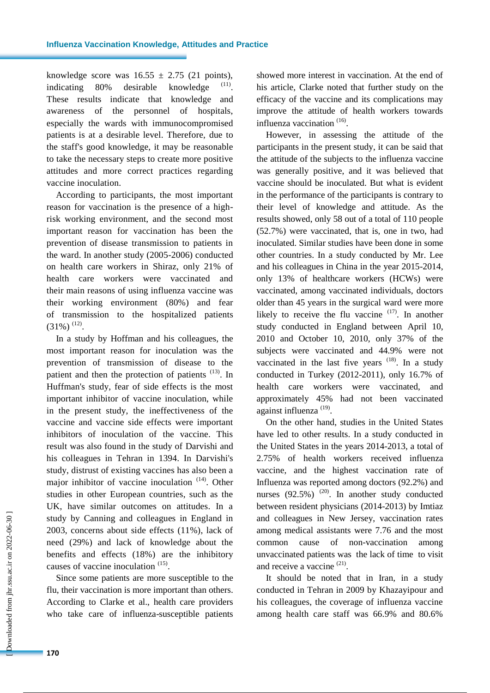knowledge score was  $16.55 \pm 2.75$  (21 points), indicating  $80\%$  desirable knowledge . These results indicate that knowledge and awareness of the personnel of hospitals, especially the wards with immunocompromised patients is at a desirable level. Therefore, due to the staff's good knowledge, it may be reasonable to take the necessary steps to create more positive attitudes and more correct practices regarding vaccine inoculation.

According to participants, the most important reason for vaccination is the presence of a highrisk working environment, and the second most important reason for vaccination has been the prevention of disease transmission to patients in the ward. In another study (2005-2006) conducted on health care workers in Shiraz, only 21% of health care workers were vaccinated and their main reasons of using influenza vaccine was their working environment (80%) and fear of transmission to the hospitalized patients  $(31\%)$ <sup>(12)</sup>.

In a study by Hoffman and his colleagues, the most important reason for inoculation was the prevention of transmission of disease to the patient and then the protection of patients  $(13)$ . In Huffman's study, fear of side effects is the most important inhibitor of vaccine inoculation, while in the present study, the ineffectiveness of the vaccine and vaccine side effects were important inhibitors of inoculation of the vaccine. This result was also found in the study of Darvishi and his colleagues in Tehran in 1394. In Darvishi's study, distrust of existing vaccines has also been a major inhibitor of vaccine inoculation  $(14)$ . Other studies in other European countries, such as the UK, have similar outcomes on attitudes. In a study by Canning and colleagues in England in 2003, concerns about side effects (11%), lack of need (29%) and lack of knowledge about the benefits and effects (18%) are the inhibitory causes of vaccine inoculation <sup>(15)</sup>.

Since some patients are more susceptible to the flu, their vaccination is more important than others. According to Clarke et al., health care providers who take care of influenza-susceptible patients showed more interest in vaccination. At the end of his article, Clarke noted that further study on the efficacy of the vaccine and its complications may improve the attitude of health workers towards influenza vaccination<sup>(16)</sup>.

However, in assessing the attitude of the participants in the present study, it can be said that the attitude of the subjects to the influenza vaccine was generally positive, and it was believed that vaccine should be inoculated. But what is evident in the performance of the participants is contrary to their level of knowledge and attitude. As the results showed, only 58 out of a total of 110 people (52.7%) were vaccinated, that is, one in two, had inoculated. Similar studies have been done in some other countries. In a study conducted by Mr. Lee and his colleagues in China in the year 2015-2014, only 13% of healthcare workers (HCWs) were vaccinated, among vaccinated individuals, doctors older than 45 years in the surgical ward were more likely to receive the flu vaccine  $(17)$ . In another study conducted in England between April 10, 2010 and October 10, 2010, only 37% of the subjects were vaccinated and 44.9% were not vaccinated in the last five years  $(18)$ . In a study conducted in Turkey (2012-2011), only 16.7% of health care workers were vaccinated, and approximately 45% had not been vaccinated against influenza<sup>(19)</sup>.

On the other hand, studies in the United States have led to other results. In a study conducted in the United States in the years 2014-2013, a total of 2.75% of health workers received influenza vaccine, and the highest vaccination rate of Influenza was reported among doctors (92.2%) and nurses  $(92.5\%)$ <sup>(20)</sup>. In another study conducted between resident physicians (2014-2013) by Imtiaz and colleagues in New Jersey, vaccination rates among medical assistants were 7.76 and the most common cause of non-vaccination among unvaccinated patients was the lack of time to visit and receive a vaccine<sup>(21)</sup>.

It should be noted that in Iran, in a study conducted in Tehran in 2009 by Khazayipour and his colleagues, the coverage of influenza vaccine among health care staff was 66.9% and 80.6%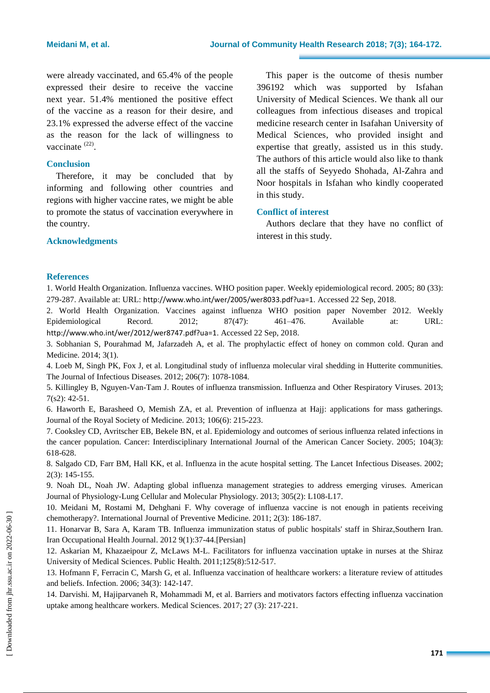were already vaccinated, and 65.4% of the people expressed their desire to receive the vaccine next year. 51.4% mentioned the positive effect of the vaccine as a reason for their desire, and 23.1% expressed the adverse effect of the vaccine as the reason for the lack of willingness to vaccinate  $(22)$ .

# **Conclusion**

Therefore, it may be concluded that by informing and following other countries and regions with higher vaccine rates, we might be able to promote the status of vaccination everywhere in the country.

This paper is the outcome of thesis number 396192 which was supported by Isfahan University of Medical Sciences. We thank all our colleagues from infectious diseases and tropical medicine research center in Isafahan University of Medical Sciences, who provided insight and expertise that greatly, assisted us in this study. The authors of this article would also like to thank all the staffs of Seyyedo Shohada, Al-Zahra and Noor hospitals in Isfahan who kindly cooperated in this study.

# **Conflict of interest**

Authors declare that they have no conflict of interest in this study.

# **Acknowledgments**

# **References**

1. World Health Organization. Influenza vaccines. WHO position paper. Weekly epidemiological record. 2005; 80 (33): 279-287. Available at: URL: <http://www.who.int/wer/2005/wer8033.pdf?ua=1>. Accessed 22 Sep, 2018.

2. World Health Organization. Vaccines against influenza WHO position paper November 2012. Weekly Epidemiological Record. 2012; 87(47): 461–476. Available at: URL: <http://www.who.int/wer/2012/wer8747.pdf?ua=1>. Accessed 22 Sep, 2018.

3. Sobhanian S, Pourahmad M, Jafarzadeh A, et al. The prophylactic effect of honey on common cold. Quran and Medicine. 2014; 3(1).

4. Loeb M, Singh PK, Fox J, et al. Longitudinal study of influenza molecular viral shedding in Hutterite communities. The Journal of Infectious Diseases. 2012; 206(7): 1078-1084.

5. Killingley B, Nguyen-Van-Tam J. Routes of influenza transmission. Influenza and Other Respiratory Viruses. 2013; 7(s2): 42-51.

6. Haworth E, Barasheed O, Memish ZA, et al. Prevention of influenza at Hajj: applications for mass gatherings. Journal of the Royal Society of Medicine. 2013; 106(6): 215-223.

7. Cooksley CD, Avritscher EB, Bekele BN, et al. Epidemiology and outcomes of serious influenza related infections in the cancer population. Cancer: Interdisciplinary International Journal of the American Cancer Society. 2005; 104(3): 618-628.

8. Salgado CD, Farr BM, Hall KK, et al. Influenza in the acute hospital setting. The Lancet Infectious Diseases. 2002; 2(3): 145-155.

9. Noah DL, Noah JW. Adapting global influenza management strategies to address emerging viruses. American Journal of Physiology-Lung Cellular and Molecular Physiology. 2013; 305(2): L108-L17.

10. Meidani M, Rostami M, Dehghani F. Why coverage of influenza vaccine is not enough in patients receiving chemotherapy?. International Journal of Preventive Medicine. 2011; 2(3): 186-187.

11. Honarvar B, Sara A, Karam TB. Influenza immunization status of public hospitals' staff in Shiraz,Southern Iran. Iran Occupational Health Journal. 2012 9(1):37-44.[Persian]

12. Askarian M, Khazaeipour Z, McLaws M-L. Facilitators for influenza vaccination uptake in nurses at the Shiraz University of Medical Sciences. Public Health. 2011;125(8):512-517.

13. Hofmann F, Ferracin C, Marsh G, et al. Influenza vaccination of healthcare workers: a literature review of attitudes and beliefs. Infection. 2006; 34(3): 142-147.

14. Darvishi. M, Hajiparvaneh R, Mohammadi M, et al. Barriers and motivators factors effecting influenza vaccination uptake among healthcare workers. Medical Sciences. 2017; 27 (3): 217-221.